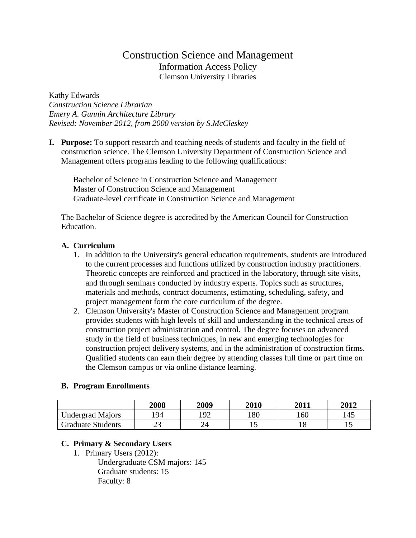# Construction Science and Management Information Access Policy Clemson University Libraries

Kathy Edwards *Construction Science Librarian Emery A. Gunnin Architecture Library Revised: November 2012, from 2000 version by S.McCleskey*

**I. Purpose:** To support research and teaching needs of students and faculty in the field of construction science. The Clemson University Department of Construction Science and Management offers programs leading to the following qualifications:

Bachelor of Science in Construction Science and Management Master of Construction Science and Management Graduate-level certificate in Construction Science and Management

The Bachelor of Science degree is accredited by the American Council for Construction Education.

# **A. Curriculum**

- 1. In addition to the University's general education requirements, students are introduced to the current processes and functions utilized by construction industry practitioners. Theoretic concepts are reinforced and practiced in the laboratory, through site visits, and through seminars conducted by industry experts. Topics such as structures, materials and methods, contract documents, estimating, scheduling, safety, and project management form the core curriculum of the degree.
- 2. Clemson University's Master of Construction Science and Management program provides students with high levels of skill and understanding in the technical areas of construction project administration and control. The degree focuses on advanced study in the field of business techniques, in new and emerging technologies for construction project delivery systems, and in the administration of construction firms. Qualified students can earn their degree by attending classes full time or part time on the Clemson campus or via online distance learning.

# **B. Program Enrollments**

|                          | 2008    | 2009           | <b>2010</b> | 2011 | 2012 |
|--------------------------|---------|----------------|-------------|------|------|
| <b>Undergrad Majors</b>  | 94      | $\Omega$<br>৴∠ | 180         | 160  | 145  |
| <b>Graduate Students</b> | ົ<br>ر_ |                | ∸           |      | ⊥ັ   |

# **C. Primary & Secondary Users**

1. Primary Users (2012):

Undergraduate CSM majors: 145 Graduate students: 15 Faculty: 8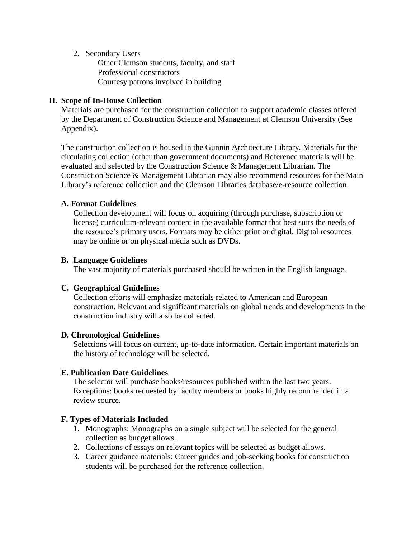### 2. Secondary Users

Other Clemson students, faculty, and staff Professional constructors Courtesy patrons involved in building

# **II. Scope of In-House Collection**

Materials are purchased for the construction collection to support academic classes offered by the Department of Construction Science and Management at Clemson University (See Appendix).

The construction collection is housed in the Gunnin Architecture Library. Materials for the circulating collection (other than government documents) and Reference materials will be evaluated and selected by the Construction Science & Management Librarian. The Construction Science & Management Librarian may also recommend resources for the Main Library's reference collection and the Clemson Libraries database/e-resource collection.

# **A. Format Guidelines**

Collection development will focus on acquiring (through purchase, subscription or license) curriculum-relevant content in the available format that best suits the needs of the resource's primary users. Formats may be either print or digital. Digital resources may be online or on physical media such as DVDs.

# **B. Language Guidelines**

The vast majority of materials purchased should be written in the English language.

# **C. Geographical Guidelines**

Collection efforts will emphasize materials related to American and European construction. Relevant and significant materials on global trends and developments in the construction industry will also be collected.

### **D. Chronological Guidelines**

Selections will focus on current, up-to-date information. Certain important materials on the history of technology will be selected.

# **E. Publication Date Guidelines**

The selector will purchase books/resources published within the last two years. Exceptions: books requested by faculty members or books highly recommended in a review source.

# **F. Types of Materials Included**

- 1. Monographs: Monographs on a single subject will be selected for the general collection as budget allows.
- 2. Collections of essays on relevant topics will be selected as budget allows.
- 3. Career guidance materials: Career guides and job-seeking books for construction students will be purchased for the reference collection.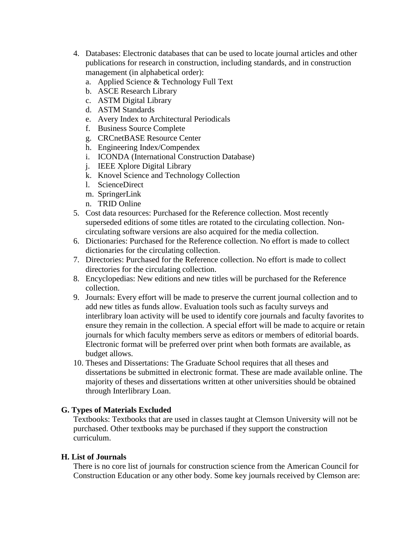- 4. Databases: Electronic databases that can be used to locate journal articles and other publications for research in construction, including standards, and in construction management (in alphabetical order):
	- a. Applied Science & Technology Full Text
	- b. ASCE Research Library
	- c. ASTM Digital Library
	- d. ASTM Standards
	- e. Avery Index to Architectural Periodicals
	- f. Business Source Complete
	- g. CRCnetBASE Resource Center
	- h. Engineering Index/Compendex
	- i. ICONDA (International Construction Database)
	- j. IEEE Xplore Digital Library
	- k. Knovel Science and Technology Collection
	- l. ScienceDirect
	- m. SpringerLink
	- n. TRID Online
- 5. Cost data resources: Purchased for the Reference collection. Most recently superseded editions of some titles are rotated to the circulating collection. Noncirculating software versions are also acquired for the media collection.
- 6. Dictionaries: Purchased for the Reference collection. No effort is made to collect dictionaries for the circulating collection.
- 7. Directories: Purchased for the Reference collection. No effort is made to collect directories for the circulating collection.
- 8. Encyclopedias: New editions and new titles will be purchased for the Reference collection.
- 9. Journals: Every effort will be made to preserve the current journal collection and to add new titles as funds allow. Evaluation tools such as faculty surveys and interlibrary loan activity will be used to identify core journals and faculty favorites to ensure they remain in the collection. A special effort will be made to acquire or retain journals for which faculty members serve as editors or members of editorial boards. Electronic format will be preferred over print when both formats are available, as budget allows.
- 10. Theses and Dissertations: The Graduate School requires that all theses and dissertations be submitted in electronic format. These are made available online. The majority of theses and dissertations written at other universities should be obtained through Interlibrary Loan.

# **G. Types of Materials Excluded**

Textbooks: Textbooks that are used in classes taught at Clemson University will not be purchased. Other textbooks may be purchased if they support the construction curriculum.

# **H. List of Journals**

There is no core list of journals for construction science from the American Council for Construction Education or any other body. Some key journals received by Clemson are: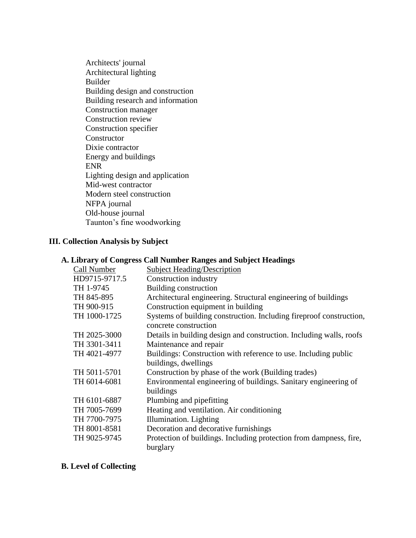Architects' journal Architectural lighting Builder Building design and construction Building research and information Construction manager Construction review Construction specifier **Constructor** Dixie contractor Energy and buildings ENR Lighting design and application Mid-west contractor Modern steel construction NFPA journal Old-house journal Taunton's fine woodworking

# **III. Collection Analysis by Subject**

# **A. Library of Congress Call Number Ranges and Subject Headings**

| <b>Subject Heading/Description</b>                                                           |
|----------------------------------------------------------------------------------------------|
|                                                                                              |
| Construction industry                                                                        |
| Building construction                                                                        |
| Architectural engineering. Structural engineering of buildings                               |
| Construction equipment in building                                                           |
| Systems of building construction. Including fireproof construction,<br>concrete construction |
| Details in building design and construction. Including walls, roofs                          |
| Maintenance and repair                                                                       |
| Buildings: Construction with reference to use. Including public                              |
| buildings, dwellings                                                                         |
| Construction by phase of the work (Building trades)                                          |
| Environmental engineering of buildings. Sanitary engineering of                              |
| buildings                                                                                    |
| Plumbing and pipefitting                                                                     |
| Heating and ventilation. Air conditioning                                                    |
| Illumination. Lighting                                                                       |
| Decoration and decorative furnishings                                                        |
| Protection of buildings. Including protection from dampness, fire,<br>burglary               |
|                                                                                              |

# **B. Level of Collecting**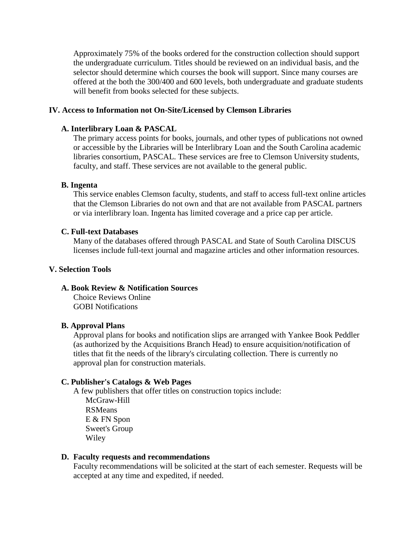Approximately 75% of the books ordered for the construction collection should support the undergraduate curriculum. Titles should be reviewed on an individual basis, and the selector should determine which courses the book will support. Since many courses are offered at the both the 300/400 and 600 levels, both undergraduate and graduate students will benefit from books selected for these subjects.

#### **IV. Access to Information not On-Site/Licensed by Clemson Libraries**

#### **A. Interlibrary Loan & PASCAL**

The primary access points for books, journals, and other types of publications not owned or accessible by the Libraries will be Interlibrary Loan and the South Carolina academic libraries consortium, PASCAL. These services are free to Clemson University students, faculty, and staff. These services are not available to the general public.

#### **B. Ingenta**

This service enables Clemson faculty, students, and staff to access full-text online articles that the Clemson Libraries do not own and that are not available from PASCAL partners or via interlibrary loan. Ingenta has limited coverage and a price cap per article.

#### **C. Full-text Databases**

Many of the databases offered through PASCAL and State of South Carolina DISCUS licenses include full-text journal and magazine articles and other information resources.

### **V. Selection Tools**

### **A. Book Review & Notification Sources**

Choice Reviews Online GOBI Notifications

#### **B. Approval Plans**

Approval plans for books and notification slips are arranged with Yankee Book Peddler (as authorized by the Acquisitions Branch Head) to ensure acquisition/notification of titles that fit the needs of the library's circulating collection. There is currently no approval plan for construction materials.

#### **C. Publisher's Catalogs & Web Pages**

A few publishers that offer titles on construction topics include: McGraw-Hill RSMeans E & FN Spon Sweet's Group Wiley

#### **D. Faculty requests and recommendations**

Faculty recommendations will be solicited at the start of each semester. Requests will be accepted at any time and expedited, if needed.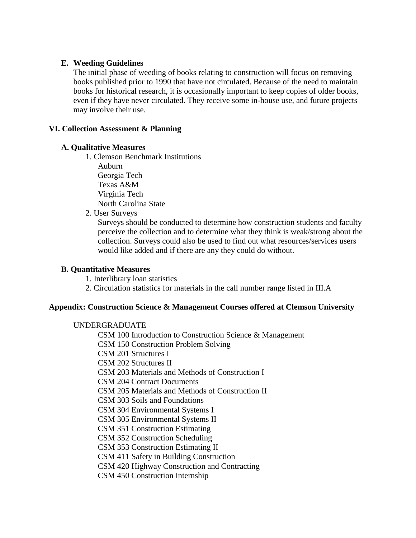### **E. Weeding Guidelines**

The initial phase of weeding of books relating to construction will focus on removing books published prior to 1990 that have not circulated. Because of the need to maintain books for historical research, it is occasionally important to keep copies of older books, even if they have never circulated. They receive some in-house use, and future projects may involve their use.

# **VI. Collection Assessment & Planning**

# **A. Qualitative Measures**

1. Clemson Benchmark Institutions Auburn Georgia Tech Texas A&M Virginia Tech North Carolina State

2. User Surveys

Surveys should be conducted to determine how construction students and faculty perceive the collection and to determine what they think is weak/strong about the collection. Surveys could also be used to find out what resources/services users would like added and if there are any they could do without.

### **B. Quantitative Measures**

1. Interlibrary loan statistics

2. Circulation statistics for materials in the call number range listed in III.A

### **Appendix: Construction Science & Management Courses offered at Clemson University**

### UNDERGRADUATE

CSM 100 Introduction to Construction Science & Management CSM 150 Construction Problem Solving CSM 201 Structures I CSM 202 Structures II CSM 203 Materials and Methods of Construction I CSM 204 Contract Documents CSM 205 Materials and Methods of Construction II CSM 303 Soils and Foundations CSM 304 Environmental Systems I CSM 305 Environmental Systems II CSM 351 Construction Estimating CSM 352 Construction Scheduling CSM 353 Construction Estimating II CSM 411 Safety in Building Construction CSM 420 Highway Construction and Contracting CSM 450 Construction Internship